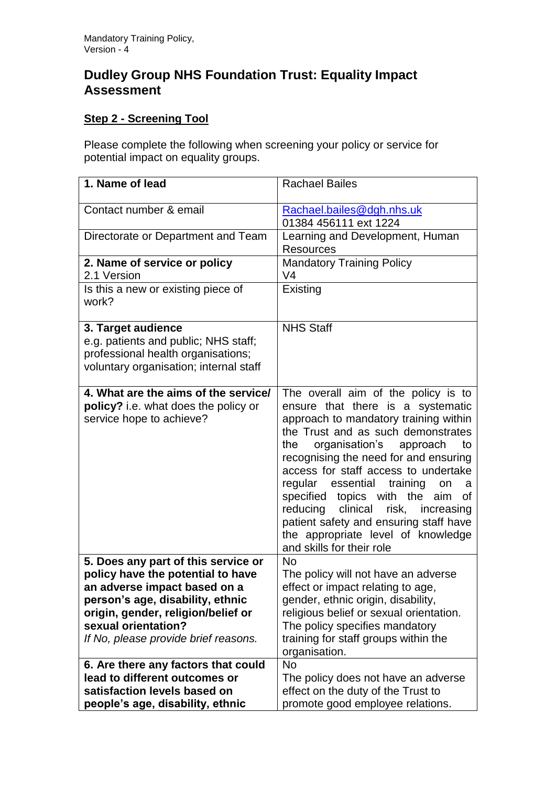## **Dudley Group NHS Foundation Trust: Equality Impact Assessment**

## **Step 2 - Screening Tool**

Please complete the following when screening your policy or service for potential impact on equality groups.

| 1. Name of lead                                                                                                                                                                                                                                   | <b>Rachael Bailes</b>                                                                                                                                                                                                                                                                                                                                                                                                                                                                                                     |
|---------------------------------------------------------------------------------------------------------------------------------------------------------------------------------------------------------------------------------------------------|---------------------------------------------------------------------------------------------------------------------------------------------------------------------------------------------------------------------------------------------------------------------------------------------------------------------------------------------------------------------------------------------------------------------------------------------------------------------------------------------------------------------------|
| Contact number & email                                                                                                                                                                                                                            | Rachael.bailes@dgh.nhs.uk<br>01384 456111 ext 1224                                                                                                                                                                                                                                                                                                                                                                                                                                                                        |
| Directorate or Department and Team                                                                                                                                                                                                                | Learning and Development, Human<br><b>Resources</b>                                                                                                                                                                                                                                                                                                                                                                                                                                                                       |
| 2. Name of service or policy<br>2.1 Version                                                                                                                                                                                                       | <b>Mandatory Training Policy</b><br>V <sub>4</sub>                                                                                                                                                                                                                                                                                                                                                                                                                                                                        |
| Is this a new or existing piece of<br>work?                                                                                                                                                                                                       | Existing                                                                                                                                                                                                                                                                                                                                                                                                                                                                                                                  |
| 3. Target audience<br>e.g. patients and public; NHS staff;<br>professional health organisations;<br>voluntary organisation; internal staff                                                                                                        | <b>NHS Staff</b>                                                                                                                                                                                                                                                                                                                                                                                                                                                                                                          |
| 4. What are the aims of the service/<br>policy? i.e. what does the policy or<br>service hope to achieve?                                                                                                                                          | The overall aim of the policy is to<br>ensure that there is a systematic<br>approach to mandatory training within<br>the Trust and as such demonstrates<br>organisation's approach<br>the<br>to<br>recognising the need for and ensuring<br>access for staff access to undertake<br>regular essential training<br>on<br>a<br>specified topics with the aim<br>0f<br>reducing clinical<br>risk,<br>increasing<br>patient safety and ensuring staff have<br>the appropriate level of knowledge<br>and skills for their role |
| 5. Does any part of this service or<br>policy have the potential to have<br>an adverse impact based on a<br>person's age, disability, ethnic<br>origin, gender, religion/belief or<br>sexual orientation?<br>If No, please provide brief reasons. | <b>No</b><br>The policy will not have an adverse<br>effect or impact relating to age,<br>gender, ethnic origin, disability,<br>religious belief or sexual orientation.<br>The policy specifies mandatory<br>training for staff groups within the<br>organisation.                                                                                                                                                                                                                                                         |
| 6. Are there any factors that could<br>lead to different outcomes or<br>satisfaction levels based on<br>people's age, disability, ethnic                                                                                                          | <b>No</b><br>The policy does not have an adverse<br>effect on the duty of the Trust to<br>promote good employee relations.                                                                                                                                                                                                                                                                                                                                                                                                |